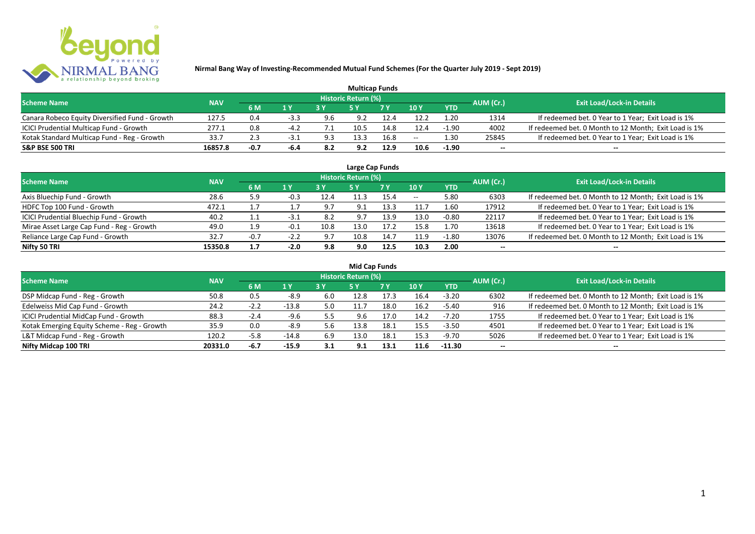

| <b>Multicap Funds</b>                          |            |        |        |     |                     |      |       |            |           |                                                       |  |  |  |
|------------------------------------------------|------------|--------|--------|-----|---------------------|------|-------|------------|-----------|-------------------------------------------------------|--|--|--|
| <b>Scheme Name</b>                             | <b>NAV</b> |        |        |     | Historic Return (%) |      |       |            | AUM (Cr.) | <b>Exit Load/Lock-in Details</b>                      |  |  |  |
|                                                |            | 6 M    | 1 Y    |     |                     | 7Y   | 10 Y  | <b>YTD</b> |           |                                                       |  |  |  |
| Canara Robeco Equity Diversified Fund - Growth | 127.5      | 0.4    | $-3.3$ | 9.6 | 9.2                 |      | 12.2  | 1.20       | 1314      | If redeemed bet. 0 Year to 1 Year; Exit Load is 1%    |  |  |  |
| ICICI Prudential Multicap Fund - Growth        | 277.1      | 0.8    |        |     |                     | 14.8 | 12.4  | $-1.90$    | 4002      | If redeemed bet. 0 Month to 12 Month; Exit Load is 1% |  |  |  |
| Kotak Standard Multicap Fund - Reg - Growth    | 33.7       | 2.3    | -3.1   | 9.3 | 13.3                | 16.8 | $- -$ | 1.30       | 25845     | If redeemed bet. 0 Year to 1 Year; Exit Load is 1%    |  |  |  |
| <b>S&amp;P BSE 500 TRI</b>                     | 16857.8    | $-0.7$ | -6.4   | 8.2 | 9.2                 | 12.9 | 10.6  | $-1.90$    | $-$       | $- -$                                                 |  |  |  |

| Large Cap Funds                           |            |         |                  |      |                            |      |       |            |                          |                                                       |  |  |  |
|-------------------------------------------|------------|---------|------------------|------|----------------------------|------|-------|------------|--------------------------|-------------------------------------------------------|--|--|--|
| <b>Scheme Name</b>                        | <b>NAV</b> |         |                  |      | <b>Historic Return (%)</b> |      |       |            | AUM (Cr.)                | <b>Exit Load/Lock-in Details</b>                      |  |  |  |
|                                           |            | 6 M     | $\overline{1}$ Y |      | <b>5Y</b>                  | 7Y   | 10Y   | <b>YTD</b> |                          |                                                       |  |  |  |
| Axis Bluechip Fund - Growth               | 28.6       | 5.9     | -0.3             | 12.4 | 11.3                       | 15.4 | $- -$ | 5.80       | 6303                     | If redeemed bet. 0 Month to 12 Month; Exit Load is 1% |  |  |  |
| HDFC Top 100 Fund - Growth                | 472.1      | <b></b> |                  | 9.7  | 9.1                        | 13.3 | 11.7  | 1.60       | 17912                    | If redeemed bet. 0 Year to 1 Year; Exit Load is 1%    |  |  |  |
| ICICI Prudential Bluechip Fund - Growth   | 40.2       | ᆠᆞ      | -3.1             | 8.2  | 9.7                        | 13.9 | 13.0  | $-0.80$    | 22117                    | If redeemed bet. 0 Year to 1 Year; Exit Load is 1%    |  |  |  |
| Mirae Asset Large Cap Fund - Reg - Growth | 49.0       | 1.9     | $-0.1$           | 10.8 | 13.0                       | 17.2 | 15.8  | 1.70       | 13618                    | If redeemed bet. 0 Year to 1 Year; Exit Load is 1%    |  |  |  |
| Reliance Large Cap Fund - Growth          | 32.7       | $-0.7$  | $-2.2$           | 9.7  | 10.8                       | 14.7 | 11.9  | $-1.80$    | 13076                    | If redeemed bet. 0 Month to 12 Month; Exit Load is 1% |  |  |  |
| Nifty 50 TRI                              | 15350.8    | 1.7     | $-2.0$           | 9.8  | 9.0                        | 12.5 | 10.3  | 2.00       | $\overline{\phantom{a}}$ | $- -$                                                 |  |  |  |

| <b>Mid Cap Funds</b>                        |            |        |         |     |                            |      |      |            |           |                                                       |  |  |  |  |
|---------------------------------------------|------------|--------|---------|-----|----------------------------|------|------|------------|-----------|-------------------------------------------------------|--|--|--|--|
| <b>Scheme Name</b>                          | <b>NAV</b> |        |         |     | <b>Historic Return (%)</b> |      |      |            | AUM (Cr.) | Exit Load/Lock-in Details                             |  |  |  |  |
|                                             |            | 6 M    | 1 Y     |     |                            | 7 Y  | 10Y  | <b>YTD</b> |           |                                                       |  |  |  |  |
| DSP Midcap Fund - Reg - Growth              | 50.8       | 0.5    | $-8.9$  | 6.0 | 12.8                       | 17.3 | 16.4 | $-3.20$    | 6302      | If redeemed bet. 0 Month to 12 Month; Exit Load is 1% |  |  |  |  |
| Edelweiss Mid Cap Fund - Growth             | 24.2       | $-2.2$ | $-13.8$ | 5.0 | 11.7                       | 18.0 | 16.2 | -5.40      | 916       | If redeemed bet. 0 Month to 12 Month; Exit Load is 1% |  |  |  |  |
| ICICI Prudential MidCap Fund - Growth       | 88.3       | $-2.4$ | $-9.6$  | 5.5 | 9.6                        | 17.0 | 14.2 | $-7.20$    | 1755      | If redeemed bet. 0 Year to 1 Year; Exit Load is 1%    |  |  |  |  |
| Kotak Emerging Equity Scheme - Reg - Growth | 35.9       | 0.0    | $-8.9$  | 5.6 | 13.8                       | 18.1 | 15.5 | $-3.50$    | 4501      | If redeemed bet. 0 Year to 1 Year; Exit Load is 1%    |  |  |  |  |
| L&T Midcap Fund - Reg - Growth              | 120.2      | $-5.8$ | $-14.8$ | 6.9 | 13.0                       | 18.1 | 15.3 | -9.70      | 5026      | If redeemed bet. 0 Year to 1 Year; Exit Load is 1%    |  |  |  |  |
| Nifty Midcap 100 TRI                        | 20331.0    | $-6.7$ | $-15.9$ | 3.1 | 9.1                        | 13.1 | 11.6 | $-11.30$   | $- -$     | $- -$                                                 |  |  |  |  |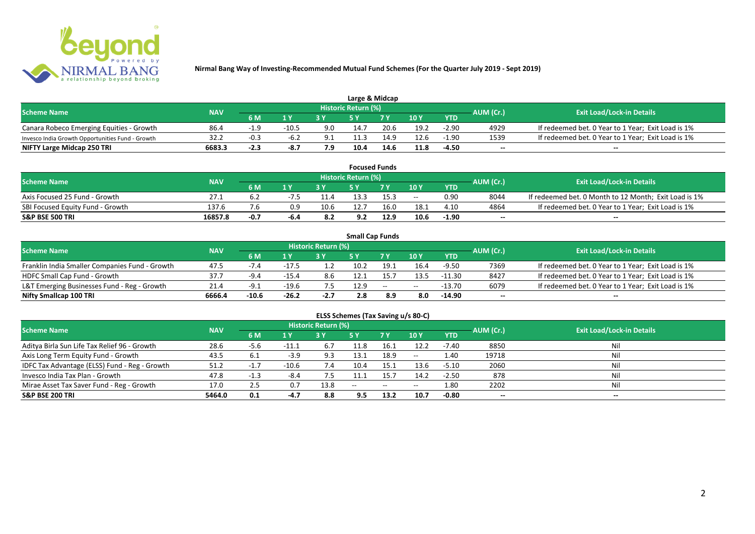

| Large & Midcap                                   |            |           |                |     |                            |      |      |            |           |                                                    |  |  |  |
|--------------------------------------------------|------------|-----------|----------------|-----|----------------------------|------|------|------------|-----------|----------------------------------------------------|--|--|--|
| <b>Scheme Name</b>                               | <b>NAV</b> |           |                |     | <b>Historic Return (%)</b> |      |      |            | AUM (Cr.) | <b>Exit Load/Lock-in Details</b>                   |  |  |  |
|                                                  |            | <b>6M</b> | 1 <sub>N</sub> |     |                            | 7 V  | 10Y  | <b>YTD</b> |           |                                                    |  |  |  |
| Canara Robeco Emerging Equities - Growth         | 86.4       |           | $-10.5$        | 9.0 | 14.7                       | 20.6 | 19.2 | $-2.90$    | 4929      | If redeemed bet. 0 Year to 1 Year; Exit Load is 1% |  |  |  |
| Invesco India Growth Opportunities Fund - Growth | 32.2       | $-0.3$    | -6.2           | 9.1 |                            | 14.9 | 12.6 | $-1.90$    | 1539      | If redeemed bet. 0 Year to 1 Year; Exit Load is 1% |  |  |  |
| NIFTY Large Midcap 250 TRI                       | 6683.3     | $-2.3$    | -8.7           | 7.9 | 10.4                       | 14.6 | 11.8 | -4.50      | $- -$     | $- -$                                              |  |  |  |

| <b>Focused Funds</b>             |            |        |      |      |                            |                |       |            |           |                                                       |  |  |  |
|----------------------------------|------------|--------|------|------|----------------------------|----------------|-------|------------|-----------|-------------------------------------------------------|--|--|--|
| <b>Scheme Name</b>               | <b>NAV</b> |        |      |      | <b>Historic Return (%)</b> |                |       |            | AUM (Cr.) | <b>Exit Load/Lock-in Details</b>                      |  |  |  |
|                                  |            | 6 M    | 4 V  |      |                            | 7 <sub>V</sub> | 10 Y  | <b>YTD</b> |           |                                                       |  |  |  |
| Axis Focused 25 Fund - Growth    | 27.1       |        |      |      | 13.3                       | 15.3           | $- -$ | 0.90       | 8044      | If redeemed bet. 0 Month to 12 Month; Exit Load is 1% |  |  |  |
| SBI Focused Equity Fund - Growth | 137.6      |        |      | 10.6 | 12.7                       | 16.0           | 18.1  | 4.10       | 4864      | If redeemed bet. 0 Year to 1 Year; Exit Load is 1%    |  |  |  |
| <b>S&amp;P BSE 500 TRI</b>       | 16857.8    | $-0.7$ | -6.4 |      | 9.2                        | 12.9           | 10.6  | $-1.90$    | $- -$     | $- -$                                                 |  |  |  |

| <b>Small Cap Funds</b>                         |            |         |         |                     |      |                          |       |            |           |                                                    |  |  |  |
|------------------------------------------------|------------|---------|---------|---------------------|------|--------------------------|-------|------------|-----------|----------------------------------------------------|--|--|--|
| <b>Scheme Name</b>                             | <b>NAV</b> |         |         | Historic Return (%) |      |                          |       |            | AUM (Cr.) | <b>Exit Load/Lock-in Details</b>                   |  |  |  |
|                                                |            | 6 M     | 1 Y     |                     |      | 7 V                      | 10Y   | <b>YTD</b> |           |                                                    |  |  |  |
| Franklin India Smaller Companies Fund - Growth | 47.5       | -7.4    | $-17.5$ |                     | 10.2 | 19.1                     | 16.4  | $-9.50$    | 7369      | If redeemed bet. 0 Year to 1 Year; Exit Load is 1% |  |  |  |
| HDFC Small Cap Fund - Growth                   | 37.7       | $-9.4$  | $-15.4$ | 8.6                 |      | 15.7                     | 13.5  | $-11.30$   | 8427      | If redeemed bet. 0 Year to 1 Year; Exit Load is 1% |  |  |  |
| L&T Emerging Businesses Fund - Reg - Growth    | 21.4       | -9.1    | $-19.6$ |                     | 12.9 | $\overline{\phantom{a}}$ | $- -$ | $-13.70$   | 6079      | If redeemed bet. 0 Year to 1 Year; Exit Load is 1% |  |  |  |
| Nifty Smallcap 100 TRI                         | 6666.4     | $-10.6$ | $-26.2$ | $-2.7$              | 2.8  | 8.9                      | 8.0   | $-14.90$   | $- -$     | $- -$                                              |  |  |  |

# **ELSS Schemes (Tax Saving u/s 80-C)**

| <b>Scheme Name</b>                            | <b>NAV</b> |        |         | Historic Return (%) |            |               |               | AUM (Cr.)  | <b>Exit Load/Lock-in Details</b> |       |
|-----------------------------------------------|------------|--------|---------|---------------------|------------|---------------|---------------|------------|----------------------------------|-------|
|                                               |            | 6 M    | 1 Y     |                     | <b>5 Y</b> | <b>7Y</b>     | 10Y           | <b>YTD</b> |                                  |       |
| Aditya Birla Sun Life Tax Relief 96 - Growth  | 28.6       | -5.6   | $-11.1$ | -6.7                | 11.8       | 16.1          | 12.2          | $-7.40$    | 8850                             | Nil   |
| Axis Long Term Equity Fund - Growth           | 43.5       | 6.1    | $-3.9$  | 9.3                 | 13.1       | 18.9          | $\sim$ $\sim$ | 1.40       | 19718                            | Nil   |
| IDFC Tax Advantage (ELSS) Fund - Reg - Growth | 51.2       | $-1.7$ | $-10.6$ | 7.4                 | 10.4       | 15.1          | 13.6          | $-5.10$    | 2060                             | Nil   |
| Invesco India Tax Plan - Growth               | 47.8       | $-1.3$ | -8.4    |                     | 11.1       | 15.7          | 14.2          | $-2.50$    | 878                              | Nil   |
| Mirae Asset Tax Saver Fund - Reg - Growth     | 17.0       |        | 0.7     | 13.8                | $-$        | $\sim$ $\sim$ | $- -$         | 1.80       | 2202                             | Nil   |
| <b>S&amp;P BSE 200 TRI</b>                    | 5464.0     | 0.1    | $-4.7$  | 8.8                 | 9.5        | 13.2          | 10.7          | $-0.80$    | $- -$                            | $- -$ |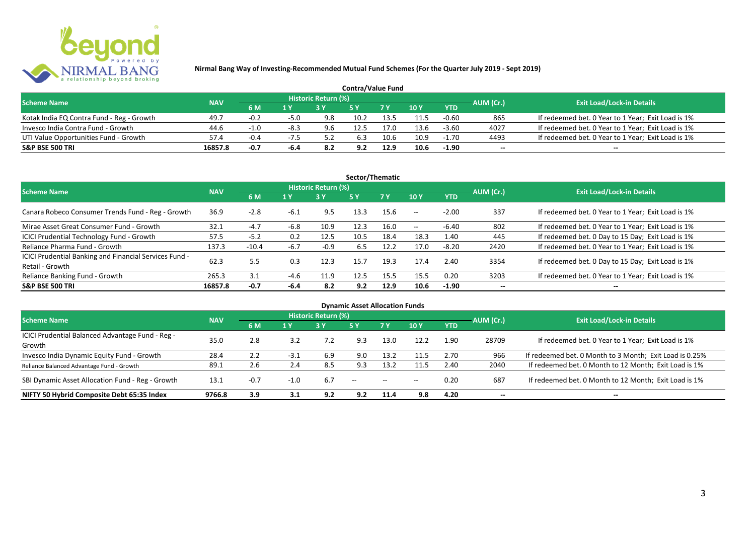

| <b>Contra/Value Fund</b>                  |            |           |        |                     |      |      |               |            |           |                                                    |  |  |  |
|-------------------------------------------|------------|-----------|--------|---------------------|------|------|---------------|------------|-----------|----------------------------------------------------|--|--|--|
| <b>Scheme Name</b>                        | <b>NAV</b> |           |        | Historic Return (%) |      |      |               |            | AUM (Cr.) | <b>Exit Load/Lock-in Details</b>                   |  |  |  |
|                                           |            | <b>6M</b> | 1 Y    |                     |      |      | $\sqrt{10}$ Y | <b>YTD</b> |           |                                                    |  |  |  |
| Kotak India EQ Contra Fund - Reg - Growth | 49.7       | $-0.2$    | $-5.0$ | 9.8                 | 10.2 | 13.5 | 11.5          | -0.60      | 865       | If redeemed bet. 0 Year to 1 Year; Exit Load is 1% |  |  |  |
| Invesco India Contra Fund - Growth        | 44.6       | $-1.0$    |        | 9.6                 | 12.5 |      | 13.6          | $-3.60$    | 4027      | If redeemed bet. 0 Year to 1 Year; Exit Load is 1% |  |  |  |
| UTI Value Opportunities Fund - Growth     | 57.4       | $-0.4$    | -75    | 5.3                 | 6.3  | 10.6 | 10.9          | $-1.70$    | 4493      | If redeemed bet. 0 Year to 1 Year; Exit Load is 1% |  |  |  |
| <b>S&amp;P BSE 500 TRI</b>                | 16857.8    | -0.7      | -6.4   | 8.2                 | 9.2  | 12.9 | 10.6          | $-1.90$    | --        | $- -$                                              |  |  |  |

| Sector/Thematic                                                           |            |         |                  |                            |      |           |               |            |                          |                                                    |  |  |  |
|---------------------------------------------------------------------------|------------|---------|------------------|----------------------------|------|-----------|---------------|------------|--------------------------|----------------------------------------------------|--|--|--|
| <b>Scheme Name</b>                                                        | <b>NAV</b> |         |                  | <b>Historic Return (%)</b> |      |           |               |            | AUM (Cr.)                | <b>Exit Load/Lock-in Details</b>                   |  |  |  |
|                                                                           |            | 6 M     | $\overline{1}$ Y | <b>3 Y</b>                 | 5Y   | <b>7Y</b> | 10Y           | <b>YTD</b> |                          |                                                    |  |  |  |
| Canara Robeco Consumer Trends Fund - Reg - Growth                         | 36.9       | $-2.8$  | $-6.1$           | 9.5                        | 13.3 | 15.6      | $\sim$ $\sim$ | $-2.00$    | 337                      | If redeemed bet. 0 Year to 1 Year; Exit Load is 1% |  |  |  |
| Mirae Asset Great Consumer Fund - Growth                                  | 32.1       | $-4.7$  | $-6.8$           | 10.9                       | 12.3 | 16.0      | $\sim$ $-$    | $-6.40$    | 802                      | If redeemed bet. 0 Year to 1 Year; Exit Load is 1% |  |  |  |
| ICICI Prudential Technology Fund - Growth                                 | 57.5       | $-5.2$  | 0.2              | 12.5                       | 10.5 | 18.4      | 18.3          | 1.40       | 445                      | If redeemed bet. 0 Day to 15 Day; Exit Load is 1%  |  |  |  |
| Reliance Pharma Fund - Growth                                             | 137.3      | $-10.4$ | $-6.7$           | $-0.9$                     | 6.5  | 12.2      | 17.0          | $-8.20$    | 2420                     | If redeemed bet. 0 Year to 1 Year; Exit Load is 1% |  |  |  |
| ICICI Prudential Banking and Financial Services Fund -<br>Retail - Growth | 62.3       | 5.5     | 0.3              | 12.3                       | 15.7 | 19.3      | 17.4          | 2.40       | 3354                     | If redeemed bet. 0 Day to 15 Day; Exit Load is 1%  |  |  |  |
| Reliance Banking Fund - Growth                                            | 265.3      | 3.1     | $-4.6$           | 11.9                       | 12.5 | 15.5      | 15.5          | 0.20       | 3203                     | If redeemed bet. 0 Year to 1 Year; Exit Load is 1% |  |  |  |
| <b>S&amp;P BSE 500 TRI</b>                                                | 16857.8    | $-0.7$  | -6.4             | 8.2                        | 9.2  | 12.9      | 10.6          | $-1.90$    | $\overline{\phantom{a}}$ | $- -$                                              |  |  |  |

| <b>Dynamic Asset Allocation Funds</b>            |            |        |        |                            |                          |       |            |            |                          |                                                         |  |  |  |
|--------------------------------------------------|------------|--------|--------|----------------------------|--------------------------|-------|------------|------------|--------------------------|---------------------------------------------------------|--|--|--|
| <b>Scheme Name</b>                               | <b>NAV</b> |        |        | <b>Historic Return (%)</b> |                          |       |            |            | AUM (Cr.)                | <b>Exit Load/Lock-in Details</b>                        |  |  |  |
|                                                  |            | 6 M    | 1Y     | <b>3Y</b>                  | 5Y                       | 7Y    | <b>10Y</b> | <b>YTD</b> |                          |                                                         |  |  |  |
| ICICI Prudential Balanced Advantage Fund - Reg - | 35.0       | 2.8    | 3.2    | 7.2                        | 9.3                      | 13.0  | 12.2       | 1.90       | 28709                    | If redeemed bet. 0 Year to 1 Year; Exit Load is 1%      |  |  |  |
| Growth                                           |            |        |        |                            |                          |       |            |            |                          |                                                         |  |  |  |
| Invesco India Dynamic Equity Fund - Growth       | 28.4       | 2.2    | $-3.1$ | 6.9                        | 9.0                      | 13.2  | 11.5       | 2.70       | 966                      | If redeemed bet. 0 Month to 3 Month; Exit Load is 0.25% |  |  |  |
| Reliance Balanced Advantage Fund - Growth        | 89.1       | 2.6    | 2.4    | 8.5                        | 9.3                      | 13.2  | 11.5       | 2.40       | 2040                     | If redeemed bet. 0 Month to 12 Month; Exit Load is 1%   |  |  |  |
| SBI Dynamic Asset Allocation Fund - Reg - Growth | 13.1       | $-0.7$ | $-1.0$ | 6.7                        | $\overline{\phantom{a}}$ | $- -$ | $- -$      | 0.20       | 687                      | If redeemed bet. 0 Month to 12 Month; Exit Load is 1%   |  |  |  |
| NIFTY 50 Hybrid Composite Debt 65:35 Index       | 9766.8     | 3.9    | 3.1    | 9.2                        | 9.2                      | 11.4  | 9.8        | 4.20       | $\overline{\phantom{a}}$ | $- -$                                                   |  |  |  |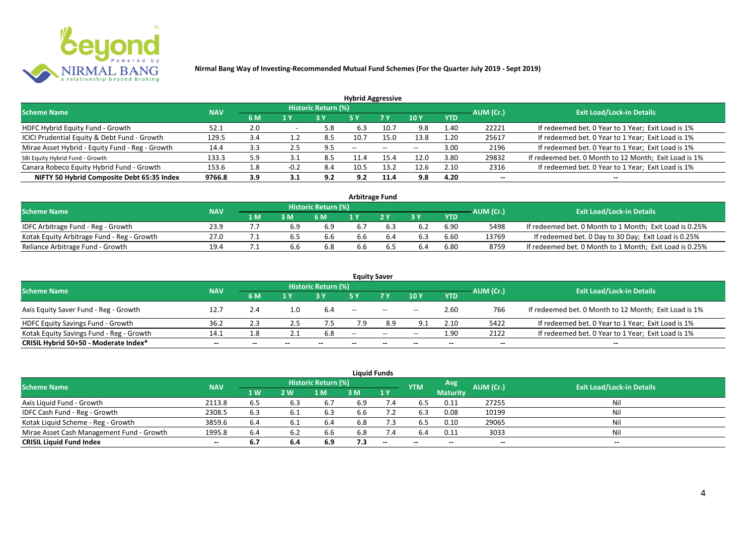

| <b>Hybrid Aggressive</b>                        |            |     |        |                            |                          |      |                          |            |                          |                                                       |  |  |  |  |
|-------------------------------------------------|------------|-----|--------|----------------------------|--------------------------|------|--------------------------|------------|--------------------------|-------------------------------------------------------|--|--|--|--|
| <b>Scheme Name</b>                              | <b>NAV</b> |     |        | <b>Historic Return (%)</b> |                          |      |                          |            | AUM (Cr.)                | <b>Exit Load/Lock-in Details</b>                      |  |  |  |  |
|                                                 |            | 6 M | 1 Y    |                            | 5 Y                      | 7 Y  | 10Y                      | <b>YTD</b> |                          |                                                       |  |  |  |  |
| HDFC Hybrid Equity Fund - Growth                | 52.1       | 2.0 |        | 5.8                        | 6.3                      | 10.7 | 9.8                      | 1.40       | 22221                    | If redeemed bet. 0 Year to 1 Year; Exit Load is 1%    |  |  |  |  |
| ICICI Prudential Equity & Debt Fund - Growth    | 129.5      | 3.4 | 1.2    | 8.5                        | 10.7                     | 15.0 | 13.8                     | 1.20       | 25617                    | If redeemed bet. 0 Year to 1 Year; Exit Load is 1%    |  |  |  |  |
| Mirae Asset Hybrid - Equity Fund - Reg - Growth | 14.4       | 3.3 | 2.5    | 9.5                        | $\overline{\phantom{a}}$ | --   | $\overline{\phantom{a}}$ | 3.00       | 2196                     | If redeemed bet. 0 Year to 1 Year; Exit Load is 1%    |  |  |  |  |
| SBI Equity Hybrid Fund - Growth                 | 133.3      | 5.9 |        | 8.5                        |                          | 15.4 | 12.0                     | 3.80       | 29832                    | If redeemed bet. 0 Month to 12 Month; Exit Load is 1% |  |  |  |  |
| Canara Robeco Equity Hybrid Fund - Growth       | 153.6      | 1.8 | $-0.2$ | 8.4                        | 10.5                     | 13.2 | 12.6                     | 2.10       | 2316                     | If redeemed bet. 0 Year to 1 Year; Exit Load is 1%    |  |  |  |  |
| NIFTY 50 Hybrid Composite Debt 65:35 Index      | 9766.8     | 3.9 | 3.1    | 9.2                        | 9.2                      | 11.4 | 9.8                      | 4.20       | $\overline{\phantom{a}}$ | $- -$                                                 |  |  |  |  |

| <b>Arbitrage Fund</b>                      |            |     |     |                            |     |    |     |            |           |                                                         |  |  |  |
|--------------------------------------------|------------|-----|-----|----------------------------|-----|----|-----|------------|-----------|---------------------------------------------------------|--|--|--|
| <b>Scheme Name</b>                         | <b>NAV</b> |     |     | <b>Historic Return (%)</b> |     |    |     |            | AUM (Cr.) | <b>Exit Load/Lock-in Details</b>                        |  |  |  |
|                                            |            | 1 M | 3 M | 6 M                        |     | つV |     | <b>YTD</b> |           |                                                         |  |  |  |
| IDFC Arbitrage Fund - Reg - Growth         | 23.9       |     |     | 6.9                        | 6.7 |    |     | 6.90       | 5498      | If redeemed bet. 0 Month to 1 Month; Exit Load is 0.25% |  |  |  |
| Kotak Equity Arbitrage Fund - Reg - Growth | 27.0       |     | כ.ס | 6.6                        | 6.6 |    |     | 6.60       | 13769     | If redeemed bet. 0 Day to 30 Day; Exit Load is 0.25%    |  |  |  |
| Reliance Arbitrage Fund - Growth           | 19.4       |     | 6.6 | 6.8                        | 6.6 |    | b.4 | 6.80       | 8759      | If redeemed bet. 0 Month to 1 Month; Exit Load is 0.25% |  |  |  |

|                                          |            |       |       |                     |       | <b>Equity Saver</b>                            |       |            |           |                                                       |
|------------------------------------------|------------|-------|-------|---------------------|-------|------------------------------------------------|-------|------------|-----------|-------------------------------------------------------|
| <b>Scheme Name</b>                       | <b>NAV</b> |       |       | Historic Return (%) |       |                                                |       |            |           | <b>Exit Load/Lock-in Details</b>                      |
|                                          |            | 6 M   | 1 V   |                     |       | 7 <sub>V</sub>                                 | 10Y   | <b>YTD</b> | AUM (Cr.) |                                                       |
| Axis Equity Saver Fund - Reg - Growth    | 12.7       | 2.4   | 1.0   | 6.4                 | $- -$ | $\hspace{0.1mm}-\hspace{0.1mm}-\hspace{0.1mm}$ | $- -$ | 2.60       | 766       | If redeemed bet. 0 Month to 12 Month; Exit Load is 1% |
| <b>HDFC Equity Savings Fund - Growth</b> | 36.2       |       |       |                     |       | 8.9                                            | 9.1   | 2.10       | 5422      | If redeemed bet. 0 Year to 1 Year; Exit Load is 1%    |
| Kotak Equity Savings Fund - Reg - Growth | 14.1       | 1.8   |       | 6.8                 | $-$   | $\sim$                                         | $- -$ | 1.90       | 2122      | If redeemed bet. 0 Year to 1 Year; Exit Load is 1%    |
| CRISIL Hybrid 50+50 - Moderate Index*    | $- -$      | $- -$ | $- -$ |                     | --    | $- -$                                          |       | $- -$      | $- -$     | $- -$                                                 |

|                                           |            |           |     |                     |     | <b>Liquid Funds</b> |            |                 |           |                                  |
|-------------------------------------------|------------|-----------|-----|---------------------|-----|---------------------|------------|-----------------|-----------|----------------------------------|
| <b>Scheme Name</b>                        | <b>NAV</b> |           |     | Historic Return (%) |     |                     | <b>YTM</b> | Avg             | AUM (Cr.) | <b>Exit Load/Lock-in Details</b> |
|                                           |            | <b>1W</b> | 2 W | M                   | 3 M | 1Y                  |            | <b>Maturity</b> |           |                                  |
| Axis Liquid Fund - Growth                 | 2113.8     | 6.5       | 6.3 | 6.7                 | 6.9 | 7.4                 | 6.5        | 0.11            | 27255     | Nil                              |
| IDFC Cash Fund - Reg - Growth             | 2308.5     | 6.3       |     | 6.3                 | 6.6 |                     | 6.3        | 0.08            | 10199     | Nil                              |
| Kotak Liquid Scheme - Reg - Growth        | 3859.6     | 6.4       | 6.1 | 6.4                 | 6.8 | 7.3                 | 6.5        | 0.10            | 29065     | Nil                              |
| Mirae Asset Cash Management Fund - Growth | 1995.8     | 6.4       |     | 6.6                 | 6.8 | 7.4                 | 6.4        | 0.11            | 3033      | Nil                              |
| <b>CRISIL Liquid Fund Index</b>           | $- -$      | 6.7       | 6.4 | 6.9                 | 7.3 | $-$                 | $- -$      | $- -$           | $- -$     | $- -$                            |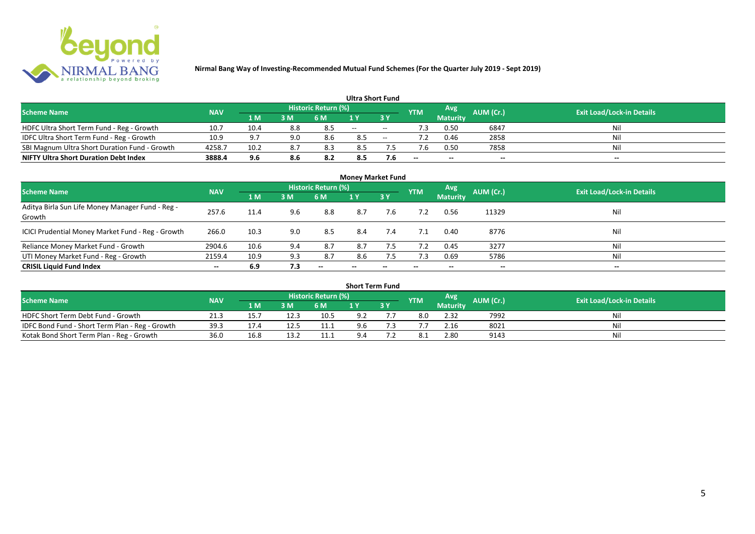

|                                               |            |      |     |                            |       | <b>Ultra Short Fund</b>  |            |                 |           |                                  |
|-----------------------------------------------|------------|------|-----|----------------------------|-------|--------------------------|------------|-----------------|-----------|----------------------------------|
| <b>Scheme Name</b>                            | <b>NAV</b> |      |     | <b>Historic Return (%)</b> |       |                          | <b>YTM</b> | Avg             | AUM (Cr.) | <b>Exit Load/Lock-in Details</b> |
|                                               |            | 1 M  | 3 M | 6 M                        |       | 3 Y                      |            | <b>Maturity</b> |           |                                  |
| HDFC Ultra Short Term Fund - Reg - Growth     | 10.7       | 10.4 | 8.8 | 8.5                        | $- -$ | $\overline{\phantom{a}}$ |            | 0.50            | 6847      | Nil                              |
| IDFC Ultra Short Term Fund - Reg - Growth     | 10.9       | 9.7  | 9.0 | 8.6                        | 8.5   | $- -$                    |            | 0.46            | 2858      | Nil                              |
| SBI Magnum Ultra Short Duration Fund - Growth | 4258.7     | 10.2 | 8.  | 8.3                        | 8.5   |                          |            | 0.50            | 7858      | Nil                              |
| <b>NIFTY Ultra Short Duration Debt Index</b>  | 3888.4     | 9.6  | 8.6 | 8.2                        | 8.5   | 7.6                      | $-$        | $-$             | $- -$     | $- -$                            |

| <b>Money Market Fund</b>                                   |            |      |     |                     |                          |     |            |                 |           |                                  |  |  |  |  |
|------------------------------------------------------------|------------|------|-----|---------------------|--------------------------|-----|------------|-----------------|-----------|----------------------------------|--|--|--|--|
| <b>Scheme Name</b>                                         | <b>NAV</b> |      |     | Historic Return (%) |                          |     | <b>YTM</b> | Avg             | AUM (Cr.) | <b>Exit Load/Lock-in Details</b> |  |  |  |  |
|                                                            |            | 1 M  | 3M  | 6 M                 | 1Y                       | 3 Y |            | <b>Maturity</b> |           |                                  |  |  |  |  |
| Aditya Birla Sun Life Money Manager Fund - Reg -<br>Growth | 257.6      | 11.4 | 9.6 | 8.8                 | 8.7                      | 7.6 |            | 0.56            | 11329     | Nil                              |  |  |  |  |
| ICICI Prudential Money Market Fund - Reg - Growth          | 266.0      | 10.3 | 9.0 | 8.5                 | 8.4                      | 7.4 | 7.1        | 0.40            | 8776      | Nil                              |  |  |  |  |
| Reliance Money Market Fund - Growth                        | 2904.6     | 10.6 | 9.4 | 8.7                 | 8.7                      | 7.5 | 7.2        | 0.45            | 3277      | Nil                              |  |  |  |  |
| UTI Money Market Fund - Reg - Growth                       | 2159.4     | 10.9 | 9.3 | 8.7                 | 8.6                      | 7.5 | 7.3        | 0.69            | 5786      | Nil                              |  |  |  |  |
| <b>CRISIL Liquid Fund Index</b>                            | $- -$      | 6.9  | 7.3 | $- -$               | $\overline{\phantom{a}}$ | --  | $- -$      | $- -$           | $- -$     | $- -$                            |  |  |  |  |

|                                                 |            |      |      |                            | <b>Short Term Fund</b> |      |            |                 |                  |                                  |
|-------------------------------------------------|------------|------|------|----------------------------|------------------------|------|------------|-----------------|------------------|----------------------------------|
| <b>Scheme Name</b>                              | <b>NAV</b> |      |      | <b>Historic Return (%)</b> |                        |      | <b>YTM</b> | Avg             | <b>AUM</b> (Cr.) | <b>Exit Load/Lock-in Details</b> |
|                                                 |            | 1 M  | 3 M  | 6 M                        |                        | 73 Y |            | <b>Maturity</b> |                  |                                  |
| HDFC Short Term Debt Fund - Growth              | 21.3       | 15.  | 12.3 | 10.5                       | 9.2                    |      | 8.0        | 2.32            | 7992             | Nil                              |
| IDFC Bond Fund - Short Term Plan - Reg - Growth | 39.3       | 17.4 | 12.5 | 11.1                       | 9.6                    |      |            | 2.16            | 8021             | Nil                              |
| Kotak Bond Short Term Plan - Reg - Growth       | 36.0       | 16.8 | 13.7 | 11.1                       | 9.4                    |      | -8.1       | 2.80            | 9143             | Nil                              |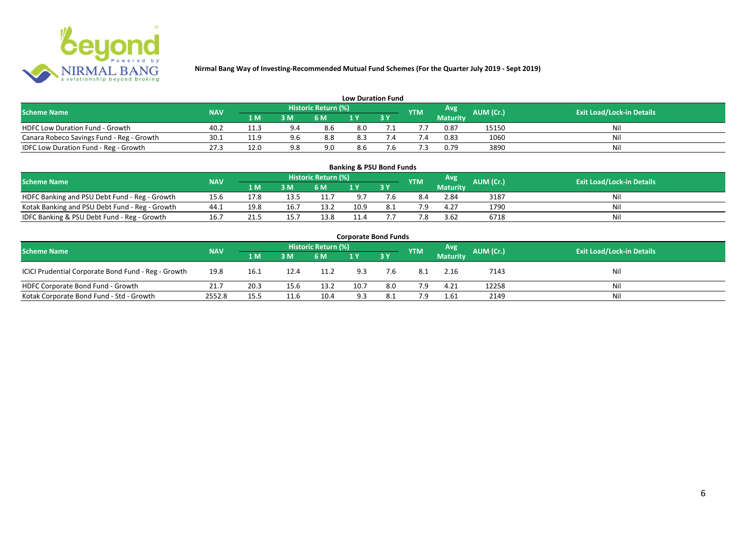

| <b>Low Duration Fund</b>                  |            |      |     |                            |     |  |            |          |           |                                  |  |  |  |  |
|-------------------------------------------|------------|------|-----|----------------------------|-----|--|------------|----------|-----------|----------------------------------|--|--|--|--|
| <b>Scheme Name</b>                        | <b>NAV</b> |      |     | <b>Historic Return (%)</b> |     |  | <b>YTM</b> | Avg      | AUM (Cr.) | <b>Exit Load/Lock-in Details</b> |  |  |  |  |
|                                           |            | 1 M  | 3 M | 6 M                        | 1 Y |  |            | Maturity |           |                                  |  |  |  |  |
| <b>HDFC Low Duration Fund - Growth</b>    | 40.2       | 11.3 |     | 8.6                        | 8.0 |  |            | 0.87     | 15150     | Nil                              |  |  |  |  |
| Canara Robeco Savings Fund - Reg - Growth | 30.1       | 11.9 | 9.6 | 8.8                        | 8.3 |  | '.4        | 0.83     | 1060      | Nil                              |  |  |  |  |
| IDFC Low Duration Fund - Reg - Growth     | 27.3       | 12.0 | 9.8 | 9.0                        | 8.6 |  |            | 0.79     | 3890      | Nil                              |  |  |  |  |

| <b>Banking &amp; PSU Bond Funds</b>                                                                                                                |      |      |      |      |      |    |     |                 |      |    |  |  |  |  |
|----------------------------------------------------------------------------------------------------------------------------------------------------|------|------|------|------|------|----|-----|-----------------|------|----|--|--|--|--|
| <b>Historic Return (%)</b><br><b>Avg</b><br><b>AUM (Cr.)</b><br><b>Exit Load/Lock-in Details</b><br><b>NAV</b><br><b>Scheme Name</b><br><b>YTM</b> |      |      |      |      |      |    |     |                 |      |    |  |  |  |  |
|                                                                                                                                                    |      | 1 M  | 3 M  | 6 M  |      | 3Y |     | <b>Maturity</b> |      |    |  |  |  |  |
| HDFC Banking and PSU Debt Fund - Reg - Growth                                                                                                      | 15.6 | 17.8 | 13.5 | 11.  |      |    | 8.4 | 2.84            | 3187 | Ni |  |  |  |  |
| Kotak Banking and PSU Debt Fund - Reg - Growth                                                                                                     | 44.1 | 19.8 | 16.7 | 13.2 | 10.9 |    | 79  | 4.27            | 1790 | Ni |  |  |  |  |
| IDFC Banking & PSU Debt Fund - Reg - Growth                                                                                                        | 16.7 | 21.5 | 15.7 | 13.8 | 11.4 |    | 7.8 | 3.62            | 6718 | Ni |  |  |  |  |

| <b>Corporate Bond Funds</b>                         |            |      |      |                            |      |           |            |                 |           |                                  |  |  |  |  |
|-----------------------------------------------------|------------|------|------|----------------------------|------|-----------|------------|-----------------|-----------|----------------------------------|--|--|--|--|
| <b>Scheme Name</b>                                  | <b>NAV</b> |      |      | <b>Historic Return (%)</b> |      |           | <b>YTM</b> | Avg             | AUM (Cr.) | <b>Exit Load/Lock-in Details</b> |  |  |  |  |
|                                                     |            | 1 M  | 3 M  | 6 M                        |      | <b>3Y</b> |            | <b>Maturity</b> |           |                                  |  |  |  |  |
| ICICI Prudential Corporate Bond Fund - Reg - Growth | 19.8       | 16.1 | 12.4 | 11.2                       | 9.3  | 7.6       | -8.1       | 2.16            | 7143      | Nil                              |  |  |  |  |
| HDFC Corporate Bond Fund - Growth                   | 21.7       | 20.3 | 15.6 | 13.2                       | 10.7 | 8.0       | 7.9        | 4.21            | 12258     | Nil                              |  |  |  |  |
| Kotak Corporate Bond Fund - Std - Growth            | 2552.8     | 15.5 | 11.6 | 10.4                       | 9.3  | 8.1       | 7.9        | 1.61            | 2149      | Nil                              |  |  |  |  |